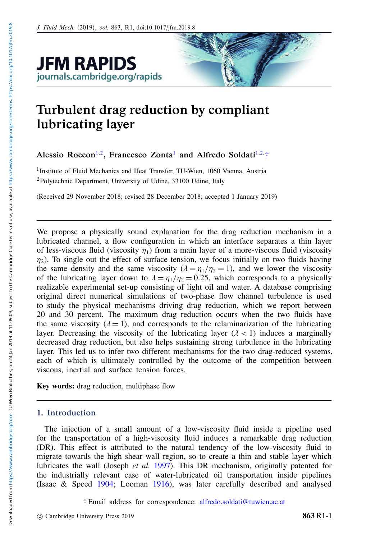

# Turbulent drag reduction by compliant lubricating layer

Alessio [Roccon](http://orcid.org/0000-0001-7618-7797)<sup>[1](#page-0-0)[,2](#page-0-1)</sup>, [Francesco](http://orcid.org/0000-0002-3849-315X) Zonta<sup>1</sup> and [Alfredo](http://orcid.org/0000-0002-7515-7147) Soldati<sup>[1,](#page-0-0)[2,](#page-0-1)[†](#page-0-2)</sup>

<span id="page-0-1"></span><span id="page-0-0"></span><sup>1</sup> Institute of Fluid Mechanics and Heat Transfer, TU-Wien, 1060 Vienna, Austria <sup>2</sup>Polytechnic Department, University of Udine, 33100 Udine, Italy

(Received 29 November 2018; revised 28 December 2018; accepted 1 January 2019)

We propose a physically sound explanation for the drag reduction mechanism in a lubricated channel, a flow configuration in which an interface separates a thin layer of less-viscous fluid (viscosity  $n_1$ ) from a main layer of a more-viscous fluid (viscosity  $\eta_2$ ). To single out the effect of surface tension, we focus initially on two fluids having the same density and the same viscosity  $(\lambda = \eta_1/\eta_2 = 1)$ , and we lower the viscosity of the lubricating layer down to  $\lambda = \eta_1/\eta_2 = 0.25$ , which corresponds to a physically realizable experimental set-up consisting of light oil and water. A database comprising original direct numerical simulations of two-phase flow channel turbulence is used to study the physical mechanisms driving drag reduction, which we report between 20 and 30 percent. The maximum drag reduction occurs when the two fluids have the same viscosity ( $\lambda = 1$ ), and corresponds to the relaminarization of the lubricating layer. Decreasing the viscosity of the lubricating layer  $(\lambda < 1)$  induces a marginally decreased drag reduction, but also helps sustaining strong turbulence in the lubricating layer. This led us to infer two different mechanisms for the two drag-reduced systems, each of which is ultimately controlled by the outcome of the competition between viscous, inertial and surface tension forces.

Key words: drag reduction, multiphase flow

## 1. Introduction

The injection of a small amount of a low-viscosity fluid inside a pipeline used for the transportation of a high-viscosity fluid induces a remarkable drag reduction (DR). This effect is attributed to the natural tendency of the low-viscosity fluid to migrate towards the high shear wall region, so to create a thin and stable layer which lubricates the wall (Joseph *et al.* [1997\)](#page-10-0). This DR mechanism, originally patented for the industrially relevant case of water-lubricated oil transportation inside pipelines (Isaac & Speed [1904;](#page-10-1) Looman [1916\)](#page-10-2), was later carefully described and analysed

<span id="page-0-2"></span>† Email address for correspondence: [alfredo.soldati@tuwien.ac.at](mailto:alfredo.soldati@tuwien.ac.at)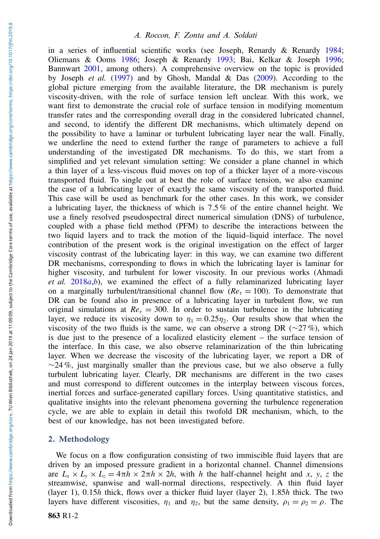in a series of influential scientific works (see Joseph, Renardy & Renardy [1984;](#page-10-3) Oliemans & Ooms [1986;](#page-10-4) Joseph & Renardy [1993;](#page-10-5) Bai, Kelkar & Joseph [1996;](#page-10-6) Bannwart [2001,](#page-10-7) among others). A comprehensive overview on the topic is provided by Joseph *et al.* [\(1997\)](#page-10-0) and by Ghosh, Mandal & Das [\(2009\)](#page-10-8). According to the global picture emerging from the available literature, the DR mechanism is purely viscosity-driven, with the role of surface tension left unclear. With this work, we want first to demonstrate the crucial role of surface tension in modifying momentum transfer rates and the corresponding overall drag in the considered lubricated channel, and second, to identify the different DR mechanisms, which ultimately depend on the possibility to have a laminar or turbulent lubricating layer near the wall. Finally, we underline the need to extend further the range of parameters to achieve a full understanding of the investigated DR mechanisms. To do this, we start from a simplified and yet relevant simulation setting: We consider a plane channel in which a thin layer of a less-viscous fluid moves on top of a thicker layer of a more-viscous transported fluid. To single out at best the role of surface tension, we also examine the case of a lubricating layer of exactly the same viscosity of the transported fluid. This case will be used as benchmark for the other cases. In this work, we consider a lubricating layer, the thickness of which is 7.5 % of the entire channel height. We use a finely resolved pseudospectral direct numerical simulation (DNS) of turbulence, coupled with a phase field method (PFM) to describe the interactions between the two liquid layers and to track the motion of the liquid–liquid interface. The novel contribution of the present work is the original investigation on the effect of larger viscosity contrast of the lubricating layer: in this way, we can examine two different DR mechanisms, corresponding to flows in which the lubricating layer is laminar for higher viscosity, and turbulent for lower viscosity. In our previous works (Ahmadi *et al.* [2018](#page-9-0)*a*,*[b](#page-9-1)*), we examined the effect of a fully relaminarized lubricating layer on a marginally turbulent/transitional channel flow  $(Re<sub>\tau</sub> = 100)$ . To demonstrate that DR can be found also in presence of a lubricating layer in turbulent flow, we run original simulations at  $Re<sub>\tau</sub> = 300$ . In order to sustain turbulence in the lubricating layer, we reduce its viscosity down to  $\eta_1 = 0.25\eta_2$ . Our results show that when the viscosity of the two fluids is the same, we can observe a strong DR ( $\sim$ 27%), which is due just to the presence of a localized elasticity element – the surface tension of the interface. In this case, we also observe relaminarization of the thin lubricating layer. When we decrease the viscosity of the lubricating layer, we report a DR of  $~\sim$ 24%, just marginally smaller than the previous case, but we also observe a fully turbulent lubricating layer. Clearly, DR mechanisms are different in the two cases and must correspond to different outcomes in the interplay between viscous forces, inertial forces and surface-generated capillary forces. Using quantitative statistics, and qualitative insights into the relevant phenomena governing the turbulence regeneration cycle, we are able to explain in detail this twofold DR mechanism, which, to the best of our knowledge, has not been investigated before.

# 2. Methodology

We focus on a flow configuration consisting of two immiscible fluid layers that are driven by an imposed pressure gradient in a horizontal channel. Channel dimensions are  $L_x \times L_y \times L_z = 4\pi h \times 2\pi h \times 2h$ , with *h* the half-channel height and *x*, *y*, *z* the streamwise, spanwise and wall-normal directions, respectively. A thin fluid layer (layer 1), 0.15*h* thick, flows over a thicker fluid layer (layer 2), 1.85*h* thick. The two layers have different viscosities,  $\eta_1$  and  $\eta_2$ , but the same density,  $\rho_1 = \rho_2 = \rho$ . The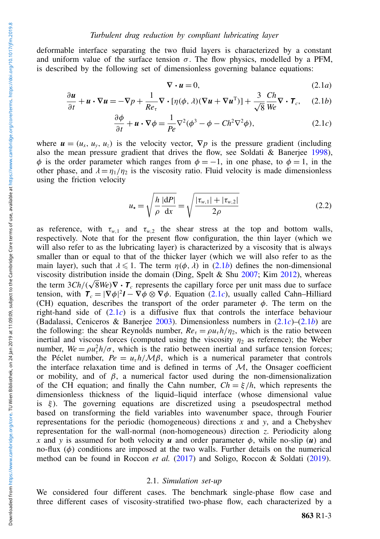deformable interface separating the two fluid layers is characterized by a constant and uniform value of the surface tension  $\sigma$ . The flow physics, modelled by a PFM, is described by the following set of dimensionless governing balance equations:

$$
\nabla \cdot \mathbf{u} = 0,\tag{2.1a}
$$

<span id="page-2-1"></span><span id="page-2-0"></span>
$$
\frac{\partial u}{\partial t} + u \cdot \nabla u = -\nabla p + \frac{1}{Re_{\tau}} \nabla \cdot [\eta(\phi, \lambda)(\nabla u + \nabla u^{\mathsf{T}})] + \frac{3}{\sqrt{8}} \frac{Ch}{We} \nabla \cdot \mathbf{T}_c, \quad (2.1b)
$$

$$
\frac{\partial \phi}{\partial t} + \mathbf{u} \cdot \nabla \phi = \frac{1}{Pe} \nabla^2 (\phi^3 - \phi - Ch^2 \nabla^2 \phi), \tag{2.1c}
$$

where  $u = (u_x, u_y, u_z)$  is the velocity vector,  $\nabla p$  is the pressure gradient (including also the mean pressure gradient that drives the flow, see Soldati  $\&$  Baneriee [1998\)](#page-10-9).  $\phi$  is the order parameter which ranges from  $\phi = -1$ , in one phase, to  $\phi = 1$ , in the other phase, and  $\lambda = \eta_1/\eta_2$  is the viscosity ratio. Fluid velocity is made dimensionless using the friction velocity

$$
u_{\star} = \sqrt{\frac{h}{\rho} \frac{|\mathrm{d}P|}{\mathrm{d}x}} = \sqrt{\frac{|\tau_{w,1}| + |\tau_{w,2}|}{2\rho}}
$$
(2.2)

as reference, with  $\tau_{w,1}$  and  $\tau_{w,2}$  the shear stress at the top and bottom walls, respectively. Note that for the present flow configuration, the thin layer (which we will also refer to as the lubricating layer) is characterized by a viscosity that is always smaller than or equal to that of the thicker layer (which we will also refer to as the main layer), such that  $\lambda \leq 1$ . The term  $\eta(\phi, \lambda)$  in [\(2.1](#page-2-0)*b*) defines the non-dimensional viscosity distribution inside the domain (Ding, Spelt & Shu [2007;](#page-10-10) Kim [2012\)](#page-10-11), whereas viscosity distribution inside the domain (Ding, Spelt & Shu 2007; Kim 2012), whereas the term  $3Ch/(\sqrt{8}We) \nabla \cdot \mathbf{T}_c$  represents the capillary force per unit mass due to surface tension, with  $\mathbf{T}_c = |\nabla \phi|^2 \mathbf{I} - \nabla \phi \otimes \nabla \phi$ . Equation [\(2.1](#page-2-1)*c*), usually called Cahn–Hilliard (CH) equation, describes the transport of the order parameter  $\phi$ . The term on the right-hand side of [\(2.1](#page-2-1)*c*) is a diffusive flux that controls the interface behaviour (Badalassi, Ceniceros & Banerjee [2003\)](#page-10-12). Dimensionless numbers in [\(2.1](#page-2-1)*c*)–[\(2.1](#page-2-0)*b*) are the following: the shear Reynolds number,  $Re_\tau = \rho u_\tau h / \eta_2$ , which is the ratio between inertial and viscous forces (computed using the viscosity  $\eta_2$  as reference); the Weber number,  $W_e = \rho u_t^2 h / \sigma$ , which is the ratio between inertial and surface tension forces; the Péclet number,  $Pe = u<sub>\tau</sub> h/M\beta$ , which is a numerical parameter that controls the interface relaxation time and is defined in terms of  $M$ , the Onsager coefficient or mobility, and of  $\beta$ , a numerical factor used during the non-dimensionalization of the CH equation; and finally the Cahn number,  $Ch = \xi/h$ , which represents the dimensionless thickness of the liquid–liquid interface (whose dimensional value is  $\xi$ ). The governing equations are discretized using a pseudospectral method based on transforming the field variables into wavenumber space, through Fourier representations for the periodic (homogeneous) directions *x* and *y*, and a Chebyshev representation for the wall-normal (non-homogeneous) direction *z*. Periodicity along *x* and *y* is assumed for both velocity *u* and order parameter  $\phi$ , while no-slip (*u*) and no-flux  $(\phi)$  conditions are imposed at the two walls. Further details on the numerical method can be found in Roccon *et al.* [\(2017\)](#page-10-13) and Soligo, Roccon & Soldati [\(2019\)](#page-10-14).

#### 2.1. *Simulation set-up*

We considered four different cases. The benchmark single-phase flow case and three different cases of viscosity-stratified two-phase flow, each characterized by a

863 R1-3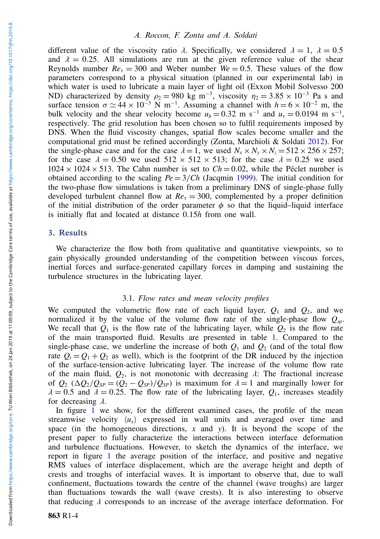different value of the viscosity ratio  $\lambda$ . Specifically, we considered  $\lambda = 1$ ,  $\lambda = 0.5$  and  $\lambda = 0.25$ . All simulations are run at the given reference value of the shear and  $\lambda = 0.25$ . All simulations are run at the given reference value of the shear Reynolds number  $Re_{\tau} = 300$  and Weber number  $We = 0.5$ . These values of the flow parameters correspond to a physical situation (planned in our experimental lab) in which water is used to lubricate a main layer of light oil (Exxon Mobil Solvesso 200 ND) characterized by density  $\rho_2 = 980 \text{ kg m}^{-3}$ , viscosity  $\eta_2 = 3.85 \times 10^{-3} \text{ Pa s}$  and surface tension  $\sigma \simeq 44 \times 10^{-3}$  N m<sup>-1</sup>. Assuming a channel with  $h = 6 \times 10^{-2}$  m, the bulk velocity and the shear velocity become  $u_b = 0.32$  m s<sup>-1</sup> and  $u_\tau = 0.0194$  m s<sup>-1</sup>, respectively. The grid resolution has been chosen so to fulfil requirements imposed by DNS. When the fluid viscosity changes, spatial flow scales become smaller and the computational grid must be refined accordingly (Zonta, Marchioli & Soldati [2012\)](#page-10-15). For the single-phase case and for the case  $\lambda = 1$ , we used  $N_x \times N_y \times N_z = 512 \times 256 \times 257$ ; for the case  $\lambda = 0.50$  we used  $512 \times 512 \times 513$ ; for the case  $\lambda = 0.25$  we used  $1024 \times 1024 \times 513$ . The Cahn number is set to  $Ch = 0.02$ , while the Péclet number is obtained according to the scaling  $Pe = 3/Ch$  (Jacqmin [1999\)](#page-10-16). The initial condition for the two-phase flow simulations is taken from a preliminary DNS of single-phase fully developed turbulent channel flow at  $Re<sub>\tau</sub> = 300$ , complemented by a proper definition of the initial distribution of the order parameter  $\phi$  so that the liquid–liquid interface is initially flat and located at distance 0.15*h* from one wall.

## 3. Results

We characterize the flow both from qualitative and quantitative viewpoints, so to gain physically grounded understanding of the competition between viscous forces, inertial forces and surface-generated capillary forces in damping and sustaining the turbulence structures in the lubricating layer.

#### 3.1. *Flow rates and mean velocity profiles*

We computed the volumetric flow rate of each liquid layer,  $Q_1$  and  $Q_2$ , and we normalized it by the value of the volume flow rate of the single-phase flow *Qsp*. We recall that  $Q_1$  is the flow rate of the lubricating layer, while  $Q_2$  is the flow rate of the main transported fluid. Results are presented in table [1.](#page-4-0) Compared to the single-phase case, we underline the increase of both  $Q_1$  and  $Q_2$  (and of the total flow rate  $Q_t = Q_1 + Q_2$  as well), which is the footprint of the DR induced by the injection of the surface-tension-active lubricating layer. The increase of the volume flow rate of the main fluid,  $Q_2$ , is not monotonic with decreasing  $\lambda$ : The fractional increase of  $Q_2$  ( $\Delta Q_2/Q_{SP} = (Q_2 - Q_{SP})/Q_{SP}$ ) is maximum for  $\lambda = 1$  and marginally lower for  $\lambda = 0.5$  and  $\lambda = 0.25$ . The flow rate of the lubricating layer,  $Q_1$ , increases steadily for decreasing  $\lambda$ .

In figure [1](#page-4-1) we show, for the different examined cases, the profile of the mean streamwise velocity  $\langle u_x \rangle$  expressed in wall units and averaged over time and space (in the homogeneous directions, *x* and *y*). It is beyond the scope of the present paper to fully characterize the interactions between interface deformation and turbulence fluctuations. However, to sketch the dynamics of the interface, we report in figure [1](#page-4-1) the average position of the interface, and positive and negative RMS values of interface displacement, which are the average height and depth of crests and troughs of interfacial waves. It is important to observe that, due to wall confinement, fluctuations towards the centre of the channel (wave troughs) are larger than fluctuations towards the wall (wave crests). It is also interesting to observe that reducing  $\lambda$  corresponds to an increase of the average interface deformation. For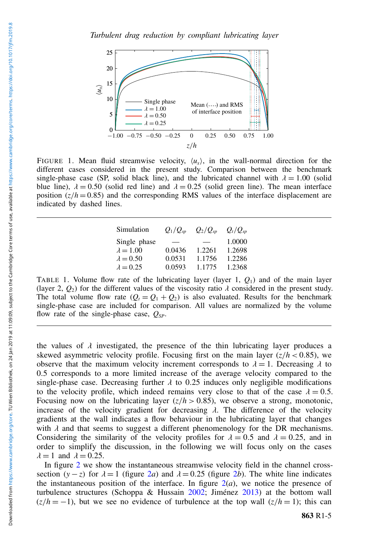<span id="page-4-1"></span>

<span id="page-4-0"></span>FIGURE 1. Mean fluid streamwise velocity,  $\langle u_x \rangle$ , in the wall-normal direction for the different cases considered in the present study. Comparison between the benchmark single-phase case (SP, solid black line), and the lubricated channel with  $\lambda = 1.00$  (solid single-phase case (SP, solid black line), and the lubricated channel with  $\lambda = 1.00$  (solid blue line),  $\lambda = 0.50$  (solid red line) and  $\lambda = 0.25$  (solid green line). The mean interface blue line),  $\lambda = 0.50$  (solid red line) and  $\lambda = 0.25$  (solid green line). The mean interface position  $(z/h = 0.85)$  and the corresponding RMS values of the interface displacement are position  $(z/h = 0.85)$  and the corresponding RMS values of the interface displacement are indicated by dashed lines.

| Simulation       | $Q_1/Q_{sp}$ | $Q_2/Q_{sp}$ | $Q_t/Q_{sp}$ |
|------------------|--------------|--------------|--------------|
| Single phase     |              |              | 1.0000       |
| $\lambda = 1.00$ | 0.0436       | 1.2261       | 1.2698       |
| $\lambda = 0.50$ | 0.0531       | 1.1756       | 1.2286       |
| $\lambda = 0.25$ | 0.0593       | 1.1775       | 1.2368       |
|                  |              |              |              |

TABLE 1. Volume flow rate of the lubricating layer (layer 1,  $Q_1$ ) and of the main layer (layer 2,  $Q_2$ ) for the different values of the viscosity ratio  $\lambda$  considered in the present study. The total volume flow rate  $(Q_t = Q_1 + Q_2)$  is also evaluated. Results for the benchmark single-phase case are included for comparison. All values are normalized by the volume flow rate of the single-phase case, *QSP*.

the values of  $\lambda$  investigated, the presence of the thin lubricating layer produces a skewed asymmetric velocity profile. Focusing first on the main layer  $(z/h < 0.85)$ , we observe that the maximum velocity increment corresponds to  $\lambda = 1$ . Decreasing  $\lambda$  to 0.5 corresponds to a more limited increase of the average velocity compared to the single-phase case. Decreasing further  $\lambda$  to 0.25 induces only negligible modifications single-phase case. Decreasing further  $\lambda$  to 0.25 induces only negligible modifications to the velocity profile which indeed remains very close to that of the case  $\lambda = 0.5$ to the velocity profile, which indeed remains very close to that of the case  $\lambda = 0.5$ .<br>Focusing now on the lubricating layer  $(z/h > 0.85)$  we observe a strong monotonic Focusing now on the lubricating layer  $(z/h > 0.85)$ , we observe a strong, monotonic, increase of the velocity gradient for decreasing  $\lambda$ . The difference of the velocity gradients at the wall indicates a flow behaviour in the lubricating layer that changes with  $\lambda$  and that seems to suggest a different phenomenology for the DR mechanisms. Considering the similarity of the velocity profiles for  $\lambda = 0.5$  and  $\lambda = 0.25$ , and in order to simplify the discussion, in the following we will focus only on the cases  $\lambda = 1$  and  $\lambda = 0.25$ .

In figure [2](#page-5-0) we show the instantaneous streamwise velocity field in the channel crosssection  $(y - z)$  for  $\lambda = 1$  (figure [2](#page-5-0)*a*) and  $\lambda = 0.25$  (figure 2*b*). The white line indicates the instantaneous position of the interface. In figure  $2(a)$  $2(a)$ , we notice the presence of turbulence structures (Schoppa & Hussain [2002;](#page-10-17) Jiménez [2013\)](#page-10-18) at the bottom wall  $(z/h = -1)$ , but we see no evidence of turbulence at the top wall  $(z/h = 1)$ ; this can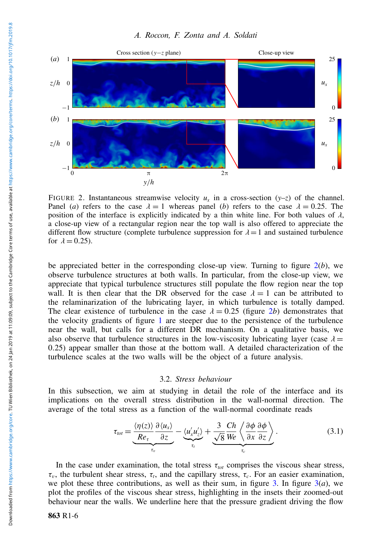<span id="page-5-0"></span>

FIGURE 2. Instantaneous streamwise velocity  $u_x$  in a cross-section  $(y-z)$  of the channel. Panel (*a*) refers to the case  $\lambda = 1$  whereas panel (*b*) refers to the case  $\lambda = 0.25$ . The position of the interface is explicitly indicated by a thin white line. For both values of  $\lambda$ , position of the interface is explicitly indicated by a thin white line. For both values of  $\lambda$ , a close-up view of a rectangular region near the top wall is also offered to appreciate the different flow structure (complete turbulence suppression for  $\lambda = 1$  and sustained turbulence for  $\lambda = 0.25$ ).

be appreciated better in the corresponding close-up view. Turning to figure [2\(](#page-5-0)*b*), we observe turbulence structures at both walls. In particular, from the close-up view, we appreciate that typical turbulence structures still populate the flow region near the top wall. It is then clear that the DR observed for the case  $\lambda = 1$  can be attributed to the relaminarization of the lubricating layer, in which turbulence is totally damped. The clear existence of turbulence in the case  $\lambda = 0.25$  $\lambda = 0.25$  $\lambda = 0.25$  (figure 2*b*) demonstrates that the velocity gradients of figure [1](#page-4-1) are steeper due to the persistence of the turbulence near the wall, but calls for a different DR mechanism. On a qualitative basis, we also observe that turbulence structures in the low-viscosity lubricating layer (case  $\lambda =$ 0.25) appear smaller than those at the bottom wall. A detailed characterization of the turbulence scales at the two walls will be the object of a future analysis.

#### 3.2. *Stress behaviour*

In this subsection, we aim at studying in detail the role of the interface and its implications on the overall stress distribution in the wall-normal direction. The average of the total stress as a function of the wall-normal coordinate reads

<span id="page-5-1"></span>
$$
\tau_{tot} = \underbrace{\frac{\langle \eta(z) \rangle}{Re_{\tau}} \frac{\partial \langle u_x \rangle}{\partial z}}_{\tau_v} - \underbrace{\langle u'_x u'_z \rangle}_{\tau_t} + \underbrace{\frac{3}{\sqrt{8}} \frac{Ch}{We} \left\langle \frac{\partial \phi}{\partial x} \frac{\partial \phi}{\partial z} \right\rangle}_{\tau_c}.
$$
\n(3.1)

In the case under examination, the total stress  $\tau_{tot}$  comprises the viscous shear stress,  $\tau_v$ , the turbulent shear stress,  $\tau_t$ , and the capillary stress,  $\tau_c$ . For an easier examination, we plot these three contributions, as well as their sum, in figure [3.](#page-6-0) In figure  $3(a)$  $3(a)$ , we plot the profiles of the viscous shear stress, highlighting in the insets their zoomed-out behaviour near the walls. We underline here that the pressure gradient driving the flow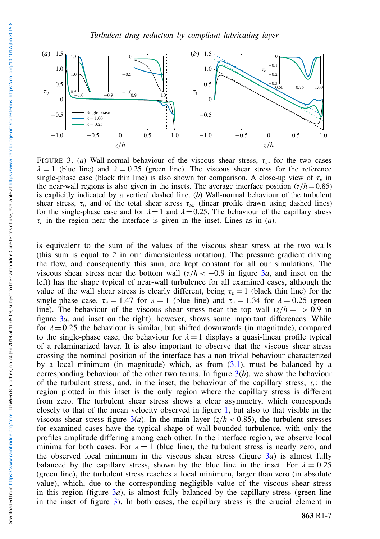<span id="page-6-0"></span>

FIGURE 3. (*a*) Wall-normal behaviour of the viscous shear stress,  $\tau_v$ , for the two cases  $\lambda = 1$  (blue line) and  $\lambda = 0.25$  (green line). The viscous shear stress for the reference single-phase case (black thin line) is also shown for comparison. A close-up view of  $\tau_{\nu}$  in the near-wall regions is also given in the insets. The average interface position  $(z/h = 0.85)$ is explicitly indicated by a vertical dashed line. (*b*) Wall-normal behaviour of the turbulent shear stress,  $\tau_t$ , and of the total shear stress  $\tau_{tot}$  (linear profile drawn using dashed lines) for the single-phase case and for  $\lambda = 1$  and  $\lambda = 0.25$ . The behaviour of the capillary stress  $\tau_c$  in the region near the interface is given in the inset. Lines as in (*a*).

is equivalent to the sum of the values of the viscous shear stress at the two walls (this sum is equal to 2 in our dimensionless notation). The pressure gradient driving the flow, and consequently this sum, are kept constant for all our simulations. The viscous shear stress near the bottom wall  $(z/h < -0.9$  in figure [3](#page-6-0)*a*, and inset on the left) has the shape typical of near-wall turbulence for all examined cases, although the value of the wall shear stress is clearly different, being  $\tau_{v} = 1$  (black thin line) for the single-phase case,  $\tau_v = 1.47$  for  $\lambda = 1$  (blue line) and  $\tau_v = 1.34$  for  $\lambda = 0.25$  (green line). The behaviour of the viscous shear stress near the top wall  $(z/h = > 0.9$  in figure [3](#page-6-0)*a*, and inset on the right), however, shows some important differences. While for  $\lambda = 0.25$  the behaviour is similar, but shifted downwards (in magnitude), compared to the single-phase case, the behaviour for  $\lambda = 1$  displays a quasi-linear profile typical of a relaminarized layer. It is also important to observe that the viscous shear stress crossing the nominal position of the interface has a non-trivial behaviour characterized by a local minimum (in magnitude) which, as from  $(3.1)$ , must be balanced by a corresponding behaviour of the other two terms. In figure  $3(b)$  $3(b)$ , we show the behaviour of the turbulent stress, and, in the inset, the behaviour of the capillary stress,  $\tau_c$ : the region plotted in this inset is the only region where the capillary stress is different from zero. The turbulent shear stress shows a clear asymmetry, which corresponds closely to that of the mean velocity observed in figure [1,](#page-4-1) but also to that visible in the viscous shear stress figure  $3(a)$  $3(a)$ . In the main layer  $\left(\frac{z}{h} < 0.85\right)$ , the turbulent stresses for examined cases have the typical shape of wall-bounded turbulence, with only the profiles amplitude differing among each other. In the interface region, we observe local minima for both cases. For  $\lambda = 1$  (blue line), the turbulent stress is nearly zero, and the observed local minimum in the viscous shear stress (figure [3](#page-6-0)*a*) is almost fully balanced by the capillary stress, shown by the blue line in the inset. For  $\lambda = 0.25$ (green line), the turbulent stress reaches a local minimum, larger than zero (in absolute value), which, due to the corresponding negligible value of the viscous shear stress in this region (figure  $3a$  $3a$ ), is almost fully balanced by the capillary stress (green line in the inset of figure [3\)](#page-6-0). In both cases, the capillary stress is the crucial element in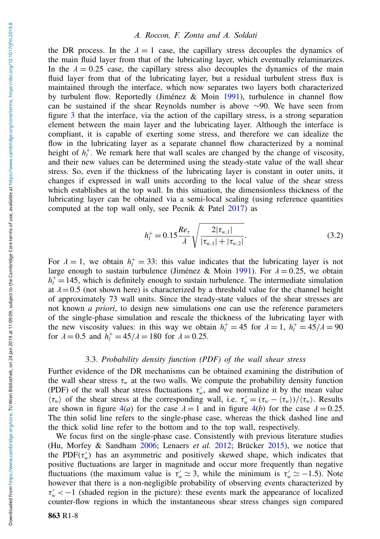the DR process. In the  $\lambda = 1$  case, the capillary stress decouples the dynamics of the main fluid layer from that of the lubricating layer, which eventually relaminarizes. In the  $\lambda = 0.25$  case, the capillary stress also decouples the dynamics of the main fluid layer from that of the lubricating layer, but a residual turbulent stress flux is maintained through the interface, which now separates two layers both characterized by turbulent flow. Reportedly (Jiménez & Moin [1991\)](#page-10-19), turbulence in channel flow can be sustained if the shear Reynolds number is above ∼90. We have seen from figure [3](#page-6-0) that the interface, via the action of the capillary stress, is a strong separation element between the main layer and the lubricating layer. Although the interface is compliant, it is capable of exerting some stress, and therefore we can idealize the flow in the lubricating layer as a separate channel flow characterized by a nominal height of  $h_l^+$ . We remark here that wall scales are changed by the change of viscosity, and their new values can be determined using the steady-state value of the wall shear stress. So, even if the thickness of the lubricating layer is constant in outer units, it changes if expressed in wall units according to the local value of the shear stress which establishes at the top wall. In this situation, the dimensionless thickness of the lubricating layer can be obtained via a semi-local scaling (using reference quantities computed at the top wall only, see Pecnik & Patel [2017\)](#page-10-20) as

<span id="page-7-0"></span>
$$
h_l^+ = 0.15 \frac{Re_\tau}{\lambda} \sqrt{\frac{2|\tau_{w,1}|}{|\tau_{w,1}| + |\tau_{w,2}|}}.
$$
\n(3.2)

For  $\lambda = 1$ , we obtain  $h_l^+ = 33$ : this value indicates that the lubricating layer is not large enough to sustain turbulence (liménez & Moin 1991). For  $\lambda = 0.25$  we obtain large enough to sustain turbulence (Jiménez & Moin [1991\)](#page-10-19). For  $\lambda = 0.25$ , we obtain  $h_l^+$  = 145, which is definitely enough to sustain turbulence. The intermediate simulation at  $\lambda = 0.5$  (not shown here) is characterized by a threshold value for the channel height of approximately 73 wall units. Since the steady-state values of the shear stresses are not known *a priori*, to design new simulations one can use the reference parameters of the single-phase simulation and rescale the thickness of the lubricating layer with the new viscosity values: in this way we obtain  $h_l^+ = 45$  for  $\lambda = 1$ ,  $h_l^+ = 45/\lambda = 90$ <br>for  $\lambda = 0.5$  and  $h_l^+ = 45/\lambda = 180$  for  $\lambda = 0.25$ for  $\lambda = 0.5$  and  $h_l^+ = 45/\lambda = 180$  for  $\lambda = 0.25$ .

#### 3.3. *Probability density function (PDF) of the wall shear stress*

Further evidence of the DR mechanisms can be obtained examining the distribution of the wall shear stress  $\tau_w$  at the two walls. We compute the probability density function (PDF) of the wall shear stress fluctuations  $\tau_w'$ , and we normalize it by the mean value  $\langle \tau_w \rangle$  of the shear stress at the corresponding wall, i.e.  $\tau_w' = (\tau_w - \langle \tau_w \rangle) / \langle \tau_w \rangle$ . Results are shown in figure  $4(a)$  $4(a)$  for the case  $\lambda = 1$  and in figure  $4(b)$  for the case  $\lambda = 0.25$ . The thin solid line refers to the single-phase case, whereas the thick dashed line and the thick solid line refer to the bottom and to the top wall, respectively.

We focus first on the single-phase case. Consistently with previous literature studies (Hu, Morfey & Sandham [2006;](#page-10-21) Lenaers *et al.* [2012;](#page-10-22) Brücker [2015\)](#page-10-23), we notice that the PDF( $\tau_w$ ) has an asymmetric and positively skewed shape, which indicates that positive fluctuations are larger in magnitude and occur more frequently than negative fluctuations (the maximum value is  $\tau_w' \approx 3$ , while the minimum is  $\tau_w' \approx -1.5$ ). Note however that there is a non-negligible probability of observing events characterized by  $\tau_w' < -1$  (shaded region in the picture): these events mark the appearance of localized counter-flow regions in which the instantaneous shear stress changes sign compared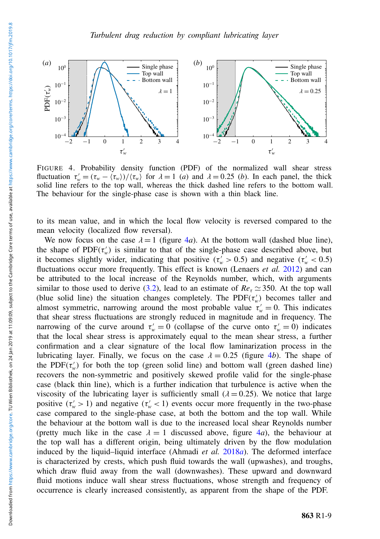<span id="page-8-0"></span>

FIGURE 4. Probability density function (PDF) of the normalized wall shear stress fluctuation  $\tau_w = (\tau_w - \langle \tau_w \rangle) / \langle \tau_w \rangle$  for  $\lambda = 1$  (*a*) and  $\lambda = 0.25$  (*b*). In each panel, the thick solid line refers to the top wall, whereas the thick dashed line refers to the bottom wall solid line refers to the top wall, whereas the thick dashed line refers to the bottom wall. The behaviour for the single-phase case is shown with a thin black line.

to its mean value, and in which the local flow velocity is reversed compared to the mean velocity (localized flow reversal).

We now focus on the case  $\lambda = 1$  (figure [4](#page-8-0)*a*). At the bottom wall (dashed blue line), the shape of  $PDF(\tau_w)$  is similar to that of the single-phase case described above, but it becomes slightly wider, indicating that positive ( $\tau_w$  > 0.5) and negative ( $\tau_w$  < 0.5) fluctuations occur more frequently. This effect is known (Lenaers *et al.* [2012\)](#page-10-22) and can be attributed to the local increase of the Reynolds number, which, with arguments similar to those used to derive [\(3.2\)](#page-7-0), lead to an estimate of  $Re<sub>r</sub> \approx 350$ . At the top wall (blue solid line) the situation changes completely. The  $PDF(\tau_w)$  becomes taller and almost symmetric, narrowing around the most probable value  $\tau_w' = 0$ . This indicates that shear stress fluctuations are strongly reduced in magnitude and in frequency. The narrowing of the curve around  $\tau_w' = 0$  (collapse of the curve onto  $\tau_w' = 0$ ) indicates that the local shear stress is approximately equal to the mean shear stress, a further confirmation and a clear signature of the local flow laminarization process in the lubricating layer. Finally, we focus on the case  $\lambda = 0.25$  (figure [4](#page-8-0)*b*). The shape of the PDF( $\tau_w$ ) for both the top (green solid line) and bottom wall (green dashed line) recovers the non-symmetric and positively skewed profile valid for the single-phase case (black thin line), which is a further indication that turbulence is active when the viscosity of the lubricating layer is sufficiently small  $(\lambda = 0.25)$ . We notice that large positive  $(\tau_w' > 1)$  and negative  $(\tau_w' < 1)$  events occur more frequently in the two-phase case compared to the single-phase case, at both the bottom and the top wall. While the behaviour at the bottom wall is due to the increased local shear Reynolds number (pretty much like in the case  $\lambda = 1$  discussed above, figure [4](#page-8-0)*a*), the behaviour at the top wall has a different origin, being ultimately driven by the flow modulation induced by the liquid–liquid interface (Ahmadi *et al.* [2018](#page-9-0)*a*). The deformed interface is characterized by crests, which push fluid towards the wall (upwashes), and troughs, which draw fluid away from the wall (downwashes). These upward and downward fluid motions induce wall shear stress fluctuations, whose strength and frequency of occurrence is clearly increased consistently, as apparent from the shape of the PDF.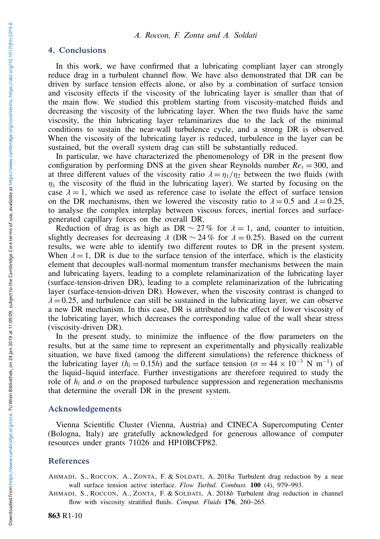## 4. Conclusions

In this work, we have confirmed that a lubricating compliant layer can strongly reduce drag in a turbulent channel flow. We have also demonstrated that DR can be driven by surface tension effects alone, or also by a combination of surface tension and viscosity effects if the viscosity of the lubricating layer is smaller than that of the main flow. We studied this problem starting from viscosity-matched fluids and decreasing the viscosity of the lubricating layer. When the two fluids have the same viscosity, the thin lubricating layer relaminarizes due to the lack of the minimal conditions to sustain the near-wall turbulence cycle, and a strong DR is observed. When the viscosity of the lubricating layer is reduced, turbulence in the layer can be sustained, but the overall system drag can still be substantially reduced.

In particular, we have characterized the phenomenology of DR in the present flow configuration by performing DNS at the given shear Reynolds number  $Re_\tau = 300$ , and at three different values of the viscosity ratio  $\lambda = \eta_1/\eta_2$  between the two fluids (with at three different values of the viscosity ratio  $\lambda = \eta_1/\eta_2$  between the two fluids (with  $\eta_1$  the viscosity of the fluid in the lubricating layer). We started by focusing on the case  $\lambda = 1$ , which we used as reference case to isolate the effect of surface tension on the DR mechanisms, then we lowered the viscosity ratio to  $\lambda = 0.5$  and  $\lambda = 0.25$ , to analyse the complex interplay between viscous forces, inertial forces and surfacegenerated capillary forces on the overall DR.

Reduction of drag is as high as DR  $\sim$  27% for  $\lambda = 1$ , and, counter to intuition, slightly decreases for decreasing  $\lambda$  (DR  $\sim$  24% for  $\lambda$  = 0.25). Based on the current results, we were able to identify two different routes to DR in the present system. When  $\lambda = 1$ , DR is due to the surface tension of the interface, which is the elasticity element that decouples wall-normal momentum transfer mechanisms between the main and lubricating layers, leading to a complete relaminarization of the lubricating layer (surface-tension-driven DR), leading to a complete relaminarization of the lubricating layer (surface-tension-driven DR). However, when the viscosity contrast is changed to  $\lambda = 0.25$ , and turbulence can still be sustained in the lubricating layer, we can observe a new DR mechanism. In this case, DR is attributed to the effect of lower viscosity of the lubricating layer, which decreases the corresponding value of the wall shear stress (viscosity-driven DR).

In the present study, to minimize the influence of the flow parameters on the results, but at the same time to represent an experimentally and physically realizable situation, we have fixed (among the different simulations) the reference thickness of the lubricating layer ( $h_l = 0.15\bar{h}$ ) and the surface tension ( $\sigma = 44 \times 10^{-3}$  N m<sup>-1</sup>) of the liquid–liquid interface. Further investigations are therefore required to study the role of  $h_l$  and  $\sigma$  on the proposed turbulence suppression and regeneration mechanisms that determine the overall DR in the present system.

## Acknowledgements

Vienna Scientific Cluster (Vienna, Austria) and CINECA Supercomputing Center (Bologna, Italy) are gratefully acknowledged for generous allowance of computer resources under grants 71026 and HP10BCFP82.

### References

<span id="page-9-0"></span>AHMADI, S., ROCCON, A., ZONTA, F. & SOLDATI, A. 2018*a* Turbulent drag reduction by a near wall surface tension active interface. *Flow Turbul. Combust.* 100 (4), 979–993.

<span id="page-9-1"></span>AHMADI, S., ROCCON, A., ZONTA, F. & SOLDATI, A. 2018*b* Turbulent drag reduction in channel flow with viscosity stratified fluids. *Comput. Fluids* 176, 260–265.